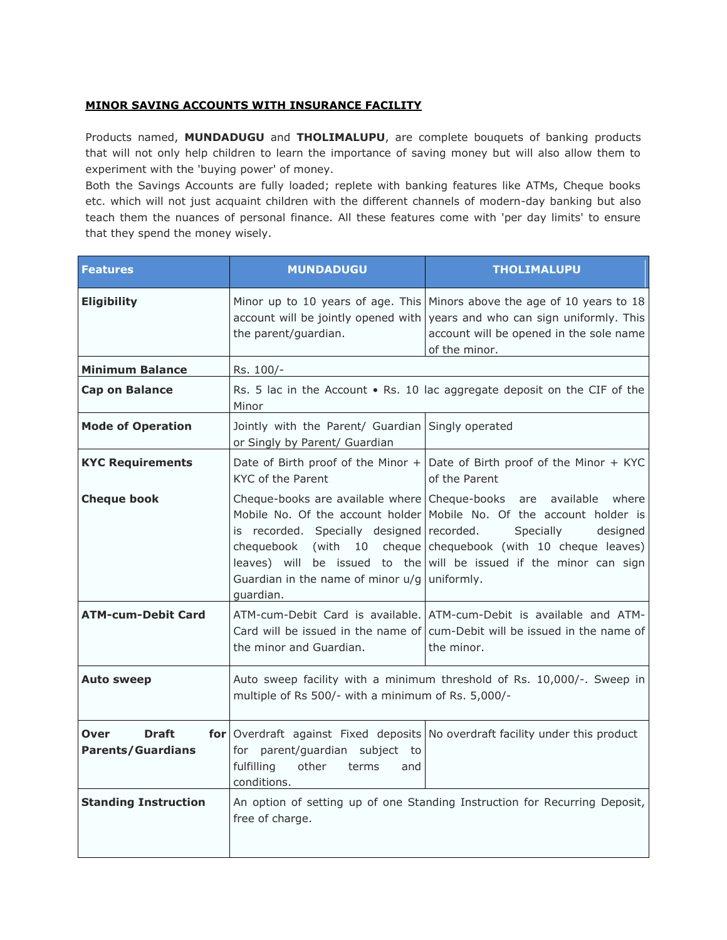## **MINOR SAVING ACCOUNTS WITH INSURANCE FACILITY**

Products named, **MUNDADUGU** and **THOLIMALUPU**, are complete bouquets of banking products that will not only help children to learn the importance of saving money but will also allow them to experiment with the 'buying power' of money.

Both the Savings Accounts are fully loaded; replete with banking features like ATMs, Cheque books etc. which will not just acquaint children with the different channels of modern-day banking but also teach them the nuances of personal finance. All these features come with 'per day limits' to ensure that they spend the money wisely.

| <b>Features</b>                                         | <b>MUNDADUGU</b>                                                                                                                                                                                                         | <b>THOLIMALUPU</b>                                                                                                                                                                                        |
|---------------------------------------------------------|--------------------------------------------------------------------------------------------------------------------------------------------------------------------------------------------------------------------------|-----------------------------------------------------------------------------------------------------------------------------------------------------------------------------------------------------------|
| <b>Eligibility</b>                                      | account will be jointly opened with<br>the parent/guardian.                                                                                                                                                              | Minor up to 10 years of age. This Minors above the age of 10 years to 18<br>years and who can sign uniformly. This<br>account will be opened in the sole name<br>of the minor.                            |
| <b>Minimum Balance</b>                                  | Rs. 100/-                                                                                                                                                                                                                |                                                                                                                                                                                                           |
| <b>Cap on Balance</b>                                   | Minor                                                                                                                                                                                                                    | Rs. 5 lac in the Account . Rs. 10 lac aggregate deposit on the CIF of the                                                                                                                                 |
| <b>Mode of Operation</b>                                | Jointly with the Parent/ Guardian<br>or Singly by Parent/ Guardian                                                                                                                                                       | Singly operated                                                                                                                                                                                           |
| <b>KYC Requirements</b>                                 | KYC of the Parent                                                                                                                                                                                                        | Date of Birth proof of the Minor $+$ Date of Birth proof of the Minor $+$ KYC<br>of the Parent                                                                                                            |
| <b>Cheque book</b>                                      | Cheque-books are available where Cheque-books are available<br>is recorded. Specially designed recorded.<br>chequebook<br>(with<br>10<br>leaves) will be issued to the<br>Guardian in the name of minor u/g<br>quardian. | where<br>Mobile No. Of the account holder Mobile No. Of the account holder is<br>Specially<br>designed<br>cheque chequebook (with 10 cheque leaves)<br>will be issued if the minor can sign<br>uniformly. |
| <b>ATM-cum-Debit Card</b>                               | the minor and Guardian.                                                                                                                                                                                                  | ATM-cum-Debit Card is available. ATM-cum-Debit is available and ATM-<br>Card will be issued in the name of cum-Debit will be issued in the name of<br>the minor.                                          |
| <b>Auto sweep</b>                                       | Auto sweep facility with a minimum threshold of Rs. 10,000/-. Sweep in<br>multiple of Rs 500/- with a minimum of Rs. 5,000/-                                                                                             |                                                                                                                                                                                                           |
| <b>Draft</b><br><b>Over</b><br><b>Parents/Guardians</b> | for parent/guardian subject to<br>fulfilling<br>other<br>terms<br>and<br>conditions.                                                                                                                                     | for Overdraft against Fixed deposits No overdraft facility under this product                                                                                                                             |
| <b>Standing Instruction</b>                             | free of charge.                                                                                                                                                                                                          | An option of setting up of one Standing Instruction for Recurring Deposit,                                                                                                                                |